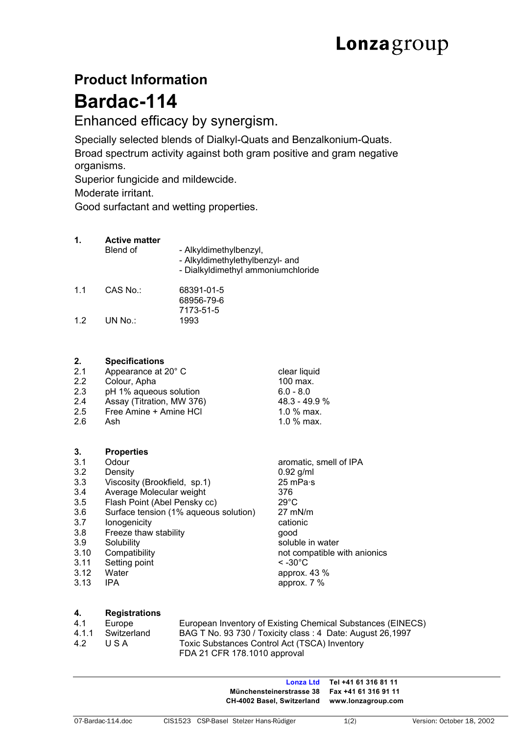# **Product Information Bardac-114**

Enhanced efficacy by synergism.

Specially selected blends of Dialkyl-Quats and Benzalkonium-Quats. Broad spectrum activity against both gram positive and gram negative organisms.

Superior fungicide and mildewcide.

Moderate irritant.

Good surfactant and wetting properties.

## **1. Active matter**

|     | Blend of | - Alkyldimethylbenzyl,<br>- Alkyldimethylethylbenzyl- and<br>- Dialkyldimethyl ammoniumchloride |
|-----|----------|-------------------------------------------------------------------------------------------------|
| 1.1 | CAS No.: | 68391-01-5<br>68956-79-6                                                                        |
| 12  | UN No.:  | 7173-51-5<br>1993                                                                               |

## **2. Specifications**

| 2.1 | Appearance at 20° C       | clear liquid   |  |
|-----|---------------------------|----------------|--|
| 2.2 | Colour, Apha              | 100 max.       |  |
| 2.3 | pH 1% aqueous solution    | $6.0 - 8.0$    |  |
| 2.4 | Assay (Titration, MW 376) | $48.3 - 49.9%$ |  |
| 2.5 | Free Amine + Amine HCI    | 1.0 $%$ max.   |  |
| 2.6 | Ash                       | 1.0 $%$ max.   |  |
|     |                           |                |  |

## **3. Properties**

- 3.1 Odour aromatic, smell of IPA
- 3.2 Density 0.92 g/ml
- 3.3 Viscosity (Brookfield, sp.1) 25 mPa·s
- 3.4 Average Molecular weight 376
- 3.5 Flash Point (Abel Pensky cc) 29°C
- 3.6 Surface tension (1% aqueous solution) 27 mN/m Ionogenicity **and Cationic** cationic
- 3.8 Freeze thaw stability good
- 
- 
- 3.11 Setting point < -30°C
- 3.12 Water approx. 43 %
- 

3.9 Solubility Soluble in water<br>
3.10 Compatibility soluble in water<br>
3.10 Compatibility soluble water<br>
3.10 Compatibility not compatible with anionics 3.13 IPA approx. 7 %

## **4. Registrations**

| 4.1 | Europe            | European Inventory of Existing Chemical Substances (EINECS) |
|-----|-------------------|-------------------------------------------------------------|
|     | 4.1.1 Switzerland | BAG T No. 93 730 / Toxicity class: 4 Date: August 26,1997   |
| 4.2 | USA               | Toxic Substances Control Act (TSCA) Inventory               |
|     |                   | FDA 21 CFR 178.1010 approval                                |

**Lonza Ltd Tel +41 61 316 81 11 Münchensteinerstrasse 38 Fax +41 61 316 91 11 CH-4002 Basel, Switzerland www.lonzagroup.com**